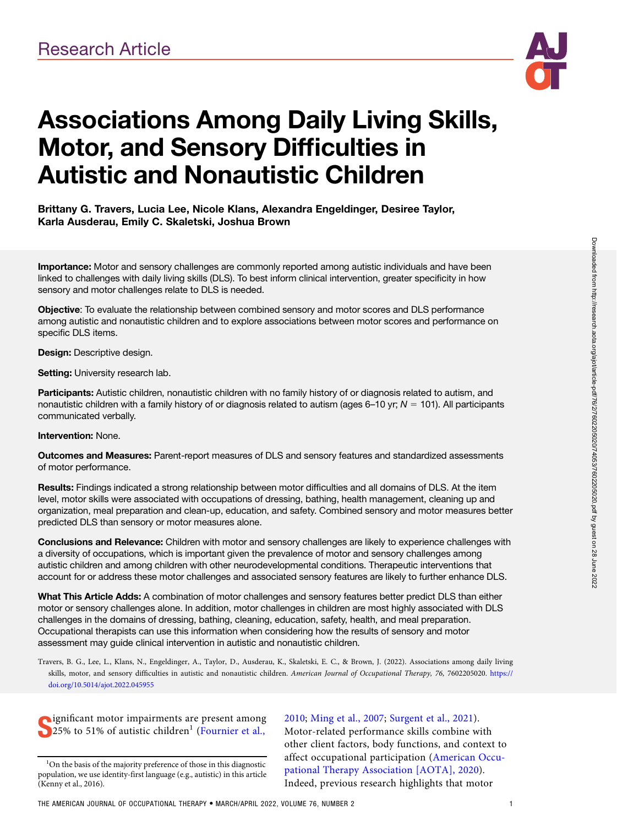

# Associations Among Daily Living Skills, Motor, and Sensory Difficulties in Autistic and Nonautistic Children

## Brittany G. Travers, Lucia Lee, Nicole Klans, Alexandra Engeldinger, Desiree Taylor, Karla Ausderau, Emily C. Skaletski, Joshua Brown

Importance: Motor and sensory challenges are commonly reported among autistic individuals and have been linked to challenges with daily living skills (DLS). To best inform clinical intervention, greater specificity in how sensory and motor challenges relate to DLS is needed.

Objective: To evaluate the relationship between combined sensory and motor scores and DLS performance among autistic and nonautistic children and to explore associations between motor scores and performance on specific DLS items.

Design: Descriptive design.

Setting: University research lab.

Participants: Autistic children, nonautistic children with no family history of or diagnosis related to autism, and nonautistic children with a family history of or diagnosis related to autism (ages 6–10 yr;  $N = 101$ ). All participants communicated verbally.

#### Intervention: None.

Outcomes and Measures: Parent-report measures of DLS and sensory features and standardized assessments of motor performance.

Results: Findings indicated a strong relationship between motor difficulties and all domains of DLS. At the item level, motor skills were associated with occupations of dressing, bathing, health management, cleaning up and organization, meal preparation and clean-up, education, and safety. Combined sensory and motor measures better predicted DLS than sensory or motor measures alone.

Conclusions and Relevance: Children with motor and sensory challenges are likely to experience challenges with a diversity of occupations, which is important given the prevalence of motor and sensory challenges among autistic children and among children with other neurodevelopmental conditions. Therapeutic interventions that account for or address these motor challenges and associated sensory features are likely to further enhance DLS.

What This Article Adds: A combination of motor challenges and sensory features better predict DLS than either motor or sensory challenges alone. In addition, motor challenges in children are most highly associated with DLS challenges in the domains of dressing, bathing, cleaning, education, safety, health, and meal preparation. Occupational therapists can use this information when considering how the results of sensory and motor assessment may guide clinical intervention in autistic and nonautistic children.

Travers, B. G., Lee, L., Klans, N., Engeldinger, A., Taylor, D., Ausderau, K., Skaletski, E. C., & Brown, J. (2022). Associations among daily living skills, motor, and sensory difficulties in autistic and nonautistic children. American Journal of Occupational Therapy, 76, 7602205020. https:// doi.org/10.5014/ajot.2022.045955

Supplied in the origin of autistic children<sup>1</sup> ([Fournier et al.,](#page-8-0) **ignificant motor impairments are present among** 

[2010](#page-8-0); [Ming et al., 2007](#page-8-0); [Surgent et al., 2021\)](#page-8-0). Motor-related performance skills combine with other client factors, body functions, and context to affect occupational participation [\(American Occu](#page-7-0)[pational Therapy Association \[AOTA\], 2020\)](#page-7-0). Indeed, previous research highlights that motor

<sup>&</sup>lt;sup>1</sup>On the basis of the majority preference of those in this diagnostic population, we use identity-first language (e.g., autistic) in this article (Kenny et al., 2016).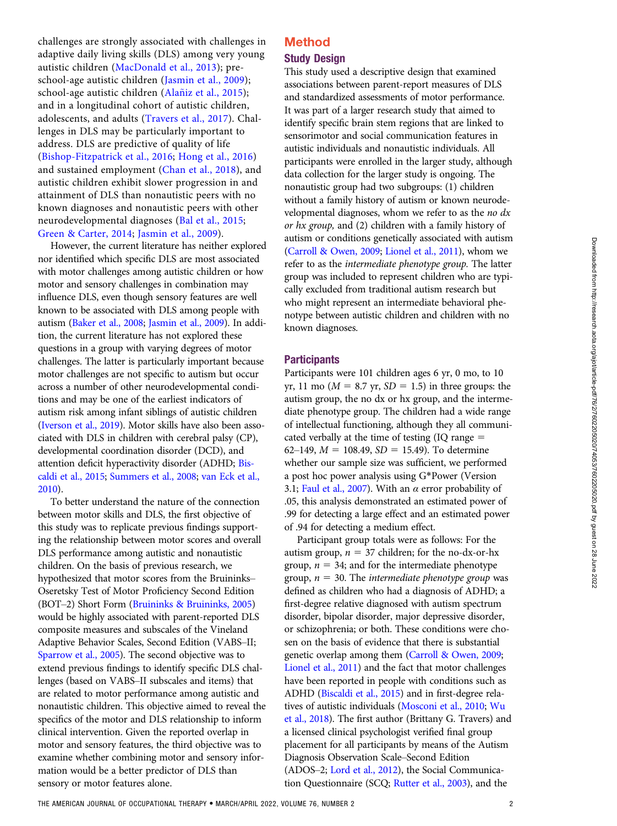challenges are strongly associated with challenges in adaptive daily living skills (DLS) among very young autistic children [\(MacDonald et al., 2013](#page-8-0)); preschool-age autistic children ([Jasmin et al., 2009\)](#page-8-0); school-age autistic children (Alañiz et al., 2015); and in a longitudinal cohort of autistic children, adolescents, and adults ([Travers et al., 2017](#page-8-0)). Challenges in DLS may be particularly important to address. DLS are predictive of quality of life [\(Bishop-Fitzpatrick et al., 2016;](#page-8-0) [Hong et al., 2016\)](#page-8-0) and sustained employment ([Chan et al., 2018\)](#page-8-0), and autistic children exhibit slower progression in and attainment of DLS than nonautistic peers with no known diagnoses and nonautistic peers with other neurodevelopmental diagnoses ([Bal et al., 2015;](#page-8-0) [Green & Carter, 2014](#page-8-0); [Jasmin et al., 2009](#page-8-0)).

However, the current literature has neither explored nor identified which specific DLS are most associated with motor challenges among autistic children or how motor and sensory challenges in combination may influence DLS, even though sensory features are well known to be associated with DLS among people with autism [\(Baker et al., 2008;](#page-8-0) [Jasmin et al., 2009](#page-8-0)). In addition, the current literature has not explored these questions in a group with varying degrees of motor challenges. The latter is particularly important because motor challenges are not specific to autism but occur across a number of other neurodevelopmental conditions and may be one of the earliest indicators of autism risk among infant siblings of autistic children [\(Iverson et al., 2019](#page-8-0)). Motor skills have also been associated with DLS in children with cerebral palsy (CP), developmental coordination disorder (DCD), and attention deficit hyperactivity disorder (ADHD; [Bis](#page-8-0)[caldi et al., 2015](#page-8-0); [Summers et al., 2008](#page-8-0); [van Eck et al.,](#page-8-0) [2010](#page-8-0)).

To better understand the nature of the connection between motor skills and DLS, the first objective of this study was to replicate previous findings supporting the relationship between motor scores and overall DLS performance among autistic and nonautistic children. On the basis of previous research, we hypothesized that motor scores from the Bruininks– Oseretsky Test of Motor Proficiency Second Edition (BOT–2) Short Form ([Bruininks & Bruininks, 2005\)](#page-8-0) would be highly associated with parent-reported DLS composite measures and subscales of the Vineland Adaptive Behavior Scales, Second Edition (VABS–II; [Sparrow et al., 2005](#page-8-0)). The second objective was to extend previous findings to identify specific DLS challenges (based on VABS–II subscales and items) that are related to motor performance among autistic and nonautistic children. This objective aimed to reveal the specifics of the motor and DLS relationship to inform clinical intervention. Given the reported overlap in motor and sensory features, the third objective was to examine whether combining motor and sensory information would be a better predictor of DLS than sensory or motor features alone.

## Method Study Design

This study used a descriptive design that examined associations between parent-report measures of DLS and standardized assessments of motor performance. It was part of a larger research study that aimed to identify specific brain stem regions that are linked to sensorimotor and social communication features in autistic individuals and nonautistic individuals. All participants were enrolled in the larger study, although data collection for the larger study is ongoing. The nonautistic group had two subgroups: (1) children without a family history of autism or known neurodevelopmental diagnoses, whom we refer to as the no  $dx$ or hx group, and (2) children with a family history of autism or conditions genetically associated with autism [\(Carroll & Owen, 2009](#page-8-0); [Lionel et al., 2011\)](#page-8-0), whom we refer to as the intermediate phenotype group. The latter group was included to represent children who are typically excluded from traditional autism research but who might represent an intermediate behavioral phenotype between autistic children and children with no known diagnoses.

#### **Participants**

Participants were 101 children ages 6 yr, 0 mo, to 10 yr, 11 mo ( $M = 8.7$  yr,  $SD = 1.5$ ) in three groups: the autism group, the no dx or hx group, and the intermediate phenotype group. The children had a wide range of intellectual functioning, although they all communicated verbally at the time of testing  $(IQ \ range =$ 62–149,  $M = 108.49$ ,  $SD = 15.49$ ). To determine whether our sample size was sufficient, we performed a post hoc power analysis using G\*Power (Version 3.1; [Faul et al., 2007\)](#page-8-0). With an  $\alpha$  error probability of .05, this analysis demonstrated an estimated power of .99 for detecting a large effect and an estimated power of .94 for detecting a medium effect.

Participant group totals were as follows: For the autism group,  $n = 37$  children; for the no-dx-or-hx group,  $n = 34$ ; and for the intermediate phenotype group,  $n = 30$ . The intermediate phenotype group was defined as children who had a diagnosis of ADHD; a first-degree relative diagnosed with autism spectrum disorder, bipolar disorder, major depressive disorder, or schizophrenia; or both. These conditions were chosen on the basis of evidence that there is substantial genetic overlap among them ([Carroll & Owen, 2009;](#page-8-0) [Lionel et al., 2011](#page-8-0)) and the fact that motor challenges have been reported in people with conditions such as ADHD [\(Biscaldi et al., 2015](#page-8-0)) and in first-degree relatives of autistic individuals [\(Mosconi et al., 2010](#page-8-0); [Wu](#page-9-0) [et al., 2018\)](#page-9-0). The first author (Brittany G. Travers) and a licensed clinical psychologist verified final group placement for all participants by means of the Autism Diagnosis Observation Scale–Second Edition (ADOS–2; [Lord et al., 2012\)](#page-8-0), the Social Communication Questionnaire (SCQ; [Rutter et al., 2003\)](#page-8-0), and the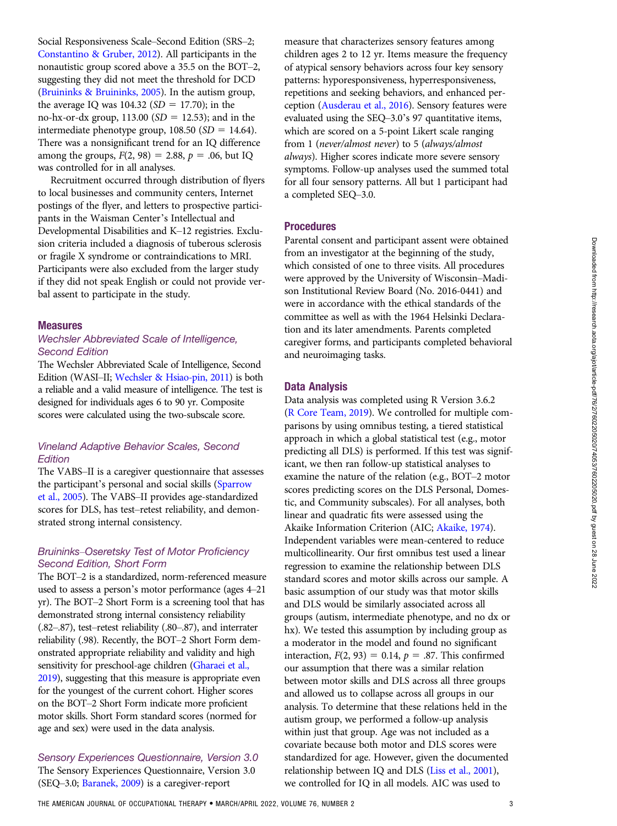Social Responsiveness Scale–Second Edition (SRS–2; [Constantino & Gruber, 2012\)](#page-8-0). All participants in the nonautistic group scored above a 35.5 on the BOT–2, suggesting they did not meet the threshold for DCD [\(Bruininks & Bruininks, 2005](#page-8-0)). In the autism group, the average IQ was  $104.32$  (SD = 17.70); in the no-hx-or-dx group,  $113.00$  (SD = 12.53); and in the intermediate phenotype group,  $108.50$  (SD = 14.64). There was a nonsignificant trend for an IQ difference among the groups,  $F(2, 98) = 2.88$ ,  $p = .06$ , but IQ was controlled for in all analyses.

Recruitment occurred through distribution of flyers to local businesses and community centers, Internet postings of the flyer, and letters to prospective participants in the Waisman Center's Intellectual and Developmental Disabilities and K–12 registries. Exclusion criteria included a diagnosis of tuberous sclerosis or fragile X syndrome or contraindications to MRI. Participants were also excluded from the larger study if they did not speak English or could not provide verbal assent to participate in the study.

#### Measures

#### Wechsler Abbreviated Scale of Intelligence, Second Edition

The Wechsler Abbreviated Scale of Intelligence, Second Edition (WASI–II; [Wechsler & Hsiao-pin, 2011](#page-9-0)) is both a reliable and a valid measure of intelligence. The test is designed for individuals ages 6 to 90 yr. Composite scores were calculated using the two-subscale score.

## Vineland Adaptive Behavior Scales, Second **Edition**

The VABS–II is a caregiver questionnaire that assesses the participant's personal and social skills [\(Sparrow](#page-8-0) [et al., 2005](#page-8-0)). The VABS–II provides age-standardized scores for DLS, has test–retest reliability, and demonstrated strong internal consistency.

#### Bruininks–Oseretsky Test of Motor Proficiency Second Edition, Short Form

The BOT–2 is a standardized, norm-referenced measure used to assess a person's motor performance (ages 4–21 yr). The BOT–2 Short Form is a screening tool that has demonstrated strong internal consistency reliability (.82–.87), test–retest reliability (.80–.87), and interrater reliability (.98). Recently, the BOT–2 Short Form demonstrated appropriate reliability and validity and high sensitivity for preschool-age children [\(Gharaei et al.,](#page-8-0) [2019\)](#page-8-0), suggesting that this measure is appropriate even for the youngest of the current cohort. Higher scores on the BOT–2 Short Form indicate more proficient motor skills. Short Form standard scores (normed for age and sex) were used in the data analysis.

Sensory Experiences Questionnaire, Version 3.0 The Sensory Experiences Questionnaire, Version 3.0 (SEQ–3.0; [Baranek, 2009](#page-8-0)) is a caregiver-report

measure that characterizes sensory features among children ages 2 to 12 yr. Items measure the frequency of atypical sensory behaviors across four key sensory patterns: hyporesponsiveness, hyperresponsiveness, repetitions and seeking behaviors, and enhanced perception ([Ausderau et al., 2016](#page-7-0)). Sensory features were evaluated using the SEQ–3.0's 97 quantitative items, which are scored on a 5-point Likert scale ranging from 1 (never/almost never) to 5 (always/almost always). Higher scores indicate more severe sensory symptoms. Follow-up analyses used the summed total for all four sensory patterns. All but 1 participant had a completed SEQ–3.0.

#### **Procedures**

Parental consent and participant assent were obtained from an investigator at the beginning of the study, which consisted of one to three visits. All procedures were approved by the University of Wisconsin–Madison Institutional Review Board (No. 2016-0441) and were in accordance with the ethical standards of the committee as well as with the 1964 Helsinki Declaration and its later amendments. Parents completed caregiver forms, and participants completed behavioral and neuroimaging tasks.

#### Data Analysis

Data analysis was completed using R Version 3.6.2 [\(R Core Team, 2019](#page-8-0)). We controlled for multiple comparisons by using omnibus testing, a tiered statistical approach in which a global statistical test (e.g., motor predicting all DLS) is performed. If this test was significant, we then ran follow-up statistical analyses to examine the nature of the relation (e.g., BOT–2 motor scores predicting scores on the DLS Personal, Domestic, and Community subscales). For all analyses, both linear and quadratic fits were assessed using the Akaike Information Criterion (AIC; [Akaike, 1974](#page-7-0)). Independent variables were mean-centered to reduce multicollinearity. Our first omnibus test used a linear regression to examine the relationship between DLS standard scores and motor skills across our sample. A basic assumption of our study was that motor skills and DLS would be similarly associated across all groups (autism, intermediate phenotype, and no dx or hx). We tested this assumption by including group as a moderator in the model and found no significant interaction,  $F(2, 93) = 0.14$ ,  $p = .87$ . This confirmed our assumption that there was a similar relation between motor skills and DLS across all three groups and allowed us to collapse across all groups in our analysis. To determine that these relations held in the autism group, we performed a follow-up analysis within just that group. Age was not included as a covariate because both motor and DLS scores were standardized for age. However, given the documented relationship between IQ and DLS ([Liss et al., 2001](#page-8-0)), we controlled for IQ in all models. AIC was used to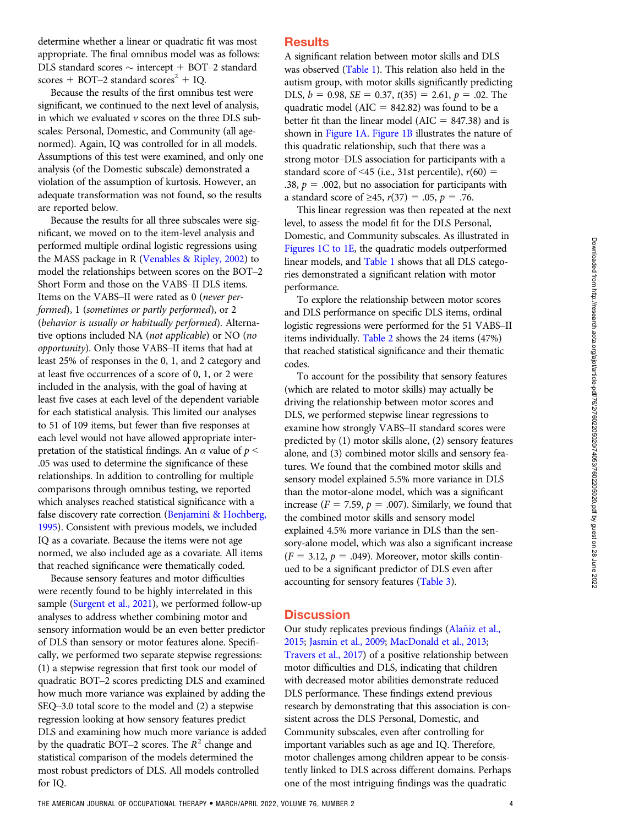determine whether a linear or quadratic fit was most appropriate. The final omnibus model was as follows: DLS standard scores  $\sim$  intercept + BOT–2 standard scores + BOT–2 standard scores<sup>2</sup> + IQ.

Because the results of the first omnibus test were significant, we continued to the next level of analysis, in which we evaluated  $\nu$  scores on the three DLS subscales: Personal, Domestic, and Community (all agenormed). Again, IQ was controlled for in all models. Assumptions of this test were examined, and only one analysis (of the Domestic subscale) demonstrated a violation of the assumption of kurtosis. However, an adequate transformation was not found, so the results are reported below.

Because the results for all three subscales were significant, we moved on to the item-level analysis and performed multiple ordinal logistic regressions using the MASS package in R [\(Venables & Ripley, 2002](#page-8-0)) to model the relationships between scores on the BOT–2 Short Form and those on the VABS–II DLS items. Items on the VABS–II were rated as 0 (never performed), 1 (sometimes or partly performed), or 2 (behavior is usually or habitually performed). Alternative options included NA (not applicable) or NO (no opportunity). Only those VABS–II items that had at least 25% of responses in the 0, 1, and 2 category and at least five occurrences of a score of 0, 1, or 2 were included in the analysis, with the goal of having at least five cases at each level of the dependent variable for each statistical analysis. This limited our analyses to 51 of 109 items, but fewer than five responses at each level would not have allowed appropriate interpretation of the statistical findings. An  $\alpha$  value of  $p \leq$ .05 was used to determine the significance of these relationships. In addition to controlling for multiple comparisons through omnibus testing, we reported which analyses reached statistical significance with a false discovery rate correction ([Benjamini & Hochberg,](#page-8-0) [1995](#page-8-0)). Consistent with previous models, we included IQ as a covariate. Because the items were not age normed, we also included age as a covariate. All items that reached significance were thematically coded.

Because sensory features and motor difficulties were recently found to be highly interrelated in this sample [\(Surgent et al., 2021](#page-8-0)), we performed follow-up analyses to address whether combining motor and sensory information would be an even better predictor of DLS than sensory or motor features alone. Specifically, we performed two separate stepwise regressions: (1) a stepwise regression that first took our model of quadratic BOT–2 scores predicting DLS and examined how much more variance was explained by adding the SEQ–3.0 total score to the model and (2) a stepwise regression looking at how sensory features predict DLS and examining how much more variance is added by the quadratic BOT–2 scores. The  $R^2$  change and statistical comparison of the models determined the most robust predictors of DLS. All models controlled for IQ.

## **Results**

A significant relation between motor skills and DLS was observed (Table 1). This relation also held in the autism group, with motor skills significantly predicting DLS,  $b = 0.98$ ,  $SE = 0.37$ ,  $t(35) = 2.61$ ,  $p = .02$ . The quadratic model ( $AIC = 842.82$ ) was found to be a better fit than the linear model ( $AIC = 847.38$ ) and is shown in Figure 1A. Figure 1B illustrates the nature of this quadratic relationship, such that there was a strong motor–DLS association for participants with a standard score of <45 (i.e., 31st percentile),  $r(60)$  = .38,  $p = .002$ , but no association for participants with a standard score of ≥45,  $r(37) = .05$ ,  $p = .76$ .

This linear regression was then repeated at the next level, to assess the model fit for the DLS Personal, Domestic, and Community subscales. As illustrated in Figures 1C to 1E, the quadratic models outperformed linear models, and Table 1 shows that all DLS categories demonstrated a significant relation with motor performance.

To explore the relationship between motor scores and DLS performance on specific DLS items, ordinal logistic regressions were performed for the 51 VABS–II items individually. Table 2 shows the 24 items (47%) that reached statistical significance and their thematic codes.

To account for the possibility that sensory features (which are related to motor skills) may actually be driving the relationship between motor scores and DLS, we performed stepwise linear regressions to examine how strongly VABS–II standard scores were predicted by (1) motor skills alone, (2) sensory features alone, and (3) combined motor skills and sensory features. We found that the combined motor skills and sensory model explained 5.5% more variance in DLS than the motor-alone model, which was a significant increase ( $F = 7.59$ ,  $p = .007$ ). Similarly, we found that the combined motor skills and sensory model explained 4.5% more variance in DLS than the sensory-alone model, which was also a significant increase  $(F = 3.12, p = .049)$ . Moreover, motor skills continued to be a significant predictor of DLS even after accounting for sensory features (Table 3).

#### **Discussion**

Our study replicates previous findings [\(Alaniz et al.,](#page-7-0) [2015](#page-7-0); [Jasmin et al., 2009;](#page-8-0) [MacDonald et al., 2013;](#page-8-0) [Travers et al., 2017\)](#page-8-0) of a positive relationship between motor difficulties and DLS, indicating that children with decreased motor abilities demonstrate reduced DLS performance. These findings extend previous research by demonstrating that this association is consistent across the DLS Personal, Domestic, and Community subscales, even after controlling for important variables such as age and IQ. Therefore, motor challenges among children appear to be consistently linked to DLS across different domains. Perhaps one of the most intriguing findings was the quadratic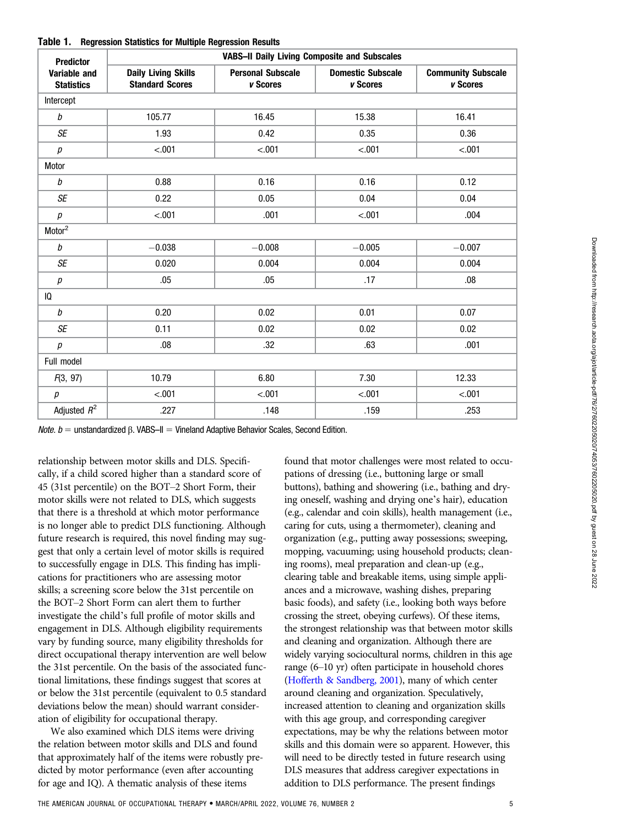| <b>Predictor</b>                  | <b>VABS-II Daily Living Composite and Subscales</b>  |                                      |                                      |                                       |  |  |  |
|-----------------------------------|------------------------------------------------------|--------------------------------------|--------------------------------------|---------------------------------------|--|--|--|
| Variable and<br><b>Statistics</b> | <b>Daily Living Skills</b><br><b>Standard Scores</b> | <b>Personal Subscale</b><br>v Scores | <b>Domestic Subscale</b><br>v Scores | <b>Community Subscale</b><br>v Scores |  |  |  |
| Intercept                         |                                                      |                                      |                                      |                                       |  |  |  |
| b                                 | 105.77                                               | 16.45                                | 15.38                                | 16.41                                 |  |  |  |
| SE                                | 1.93                                                 | 0.42                                 | 0.35                                 | 0.36                                  |  |  |  |
| р                                 | < .001                                               | $-.001$                              | < .001                               | $-.001$                               |  |  |  |
| Motor                             |                                                      |                                      |                                      |                                       |  |  |  |
| $\it{b}$                          | 0.88                                                 | 0.16                                 | 0.16                                 | 0.12                                  |  |  |  |
| <b>SE</b>                         | 0.22                                                 | 0.05                                 | 0.04                                 | 0.04                                  |  |  |  |
| р                                 | $-.001$                                              | .001                                 | $-.001$                              | .004                                  |  |  |  |
| Motor <sup>2</sup>                |                                                      |                                      |                                      |                                       |  |  |  |
| b                                 | $-0.038$                                             | $-0.008$                             | $-0.005$                             | $-0.007$                              |  |  |  |
| <b>SE</b>                         | 0.020                                                | 0.004                                | 0.004                                | 0.004                                 |  |  |  |
| р                                 | .05                                                  | .05                                  | .17                                  | .08                                   |  |  |  |
| IQ                                |                                                      |                                      |                                      |                                       |  |  |  |
| $\it{b}$                          | 0.20                                                 | 0.02                                 | 0.01                                 | 0.07                                  |  |  |  |
| SE                                | 0.11                                                 | 0.02                                 | 0.02                                 | 0.02                                  |  |  |  |
| р                                 | .08                                                  | .32                                  | .63                                  | .001                                  |  |  |  |
| Full model                        |                                                      |                                      |                                      |                                       |  |  |  |
| F(3, 97)                          | 10.79                                                | 6.80                                 | 7.30<br>12.33                        |                                       |  |  |  |
| $\boldsymbol{p}$                  | $-.001$                                              | $-.001$                              | $-.001$                              | $-.001$                               |  |  |  |
| Adjusted $R^2$                    | .227                                                 | .148                                 | .159<br>.253                         |                                       |  |  |  |

Table 1. Regression Statistics for Multiple Regression Results

*Note. b* = unstandardized β. VABS–II = Vineland Adaptive Behavior Scales, Second Edition.

relationship between motor skills and DLS. Specifically, if a child scored higher than a standard score of 45 (31st percentile) on the BOT–2 Short Form, their motor skills were not related to DLS, which suggests that there is a threshold at which motor performance is no longer able to predict DLS functioning. Although future research is required, this novel finding may suggest that only a certain level of motor skills is required to successfully engage in DLS. This finding has implications for practitioners who are assessing motor skills; a screening score below the 31st percentile on the BOT–2 Short Form can alert them to further investigate the child's full profile of motor skills and engagement in DLS. Although eligibility requirements vary by funding source, many eligibility thresholds for direct occupational therapy intervention are well below the 31st percentile. On the basis of the associated functional limitations, these findings suggest that scores at or below the 31st percentile (equivalent to 0.5 standard deviations below the mean) should warrant consideration of eligibility for occupational therapy.

We also examined which DLS items were driving the relation between motor skills and DLS and found that approximately half of the items were robustly predicted by motor performance (even after accounting for age and IQ). A thematic analysis of these items

found that motor challenges were most related to occupations of dressing (i.e., buttoning large or small buttons), bathing and showering (i.e., bathing and drying oneself, washing and drying one's hair), education (e.g., calendar and coin skills), health management (i.e., caring for cuts, using a thermometer), cleaning and organization (e.g., putting away possessions; sweeping, mopping, vacuuming; using household products; cleaning rooms), meal preparation and clean-up (e.g., clearing table and breakable items, using simple appliances and a microwave, washing dishes, preparing basic foods), and safety (i.e., looking both ways before crossing the street, obeying curfews). Of these items, the strongest relationship was that between motor skills and cleaning and organization. Although there are widely varying sociocultural norms, children in this age range (6–10 yr) often participate in household chores [\(Hofferth & Sandberg, 2001](#page-8-0)), many of which center around cleaning and organization. Speculatively, increased attention to cleaning and organization skills with this age group, and corresponding caregiver expectations, may be why the relations between motor skills and this domain were so apparent. However, this will need to be directly tested in future research using DLS measures that address caregiver expectations in addition to DLS performance. The present findings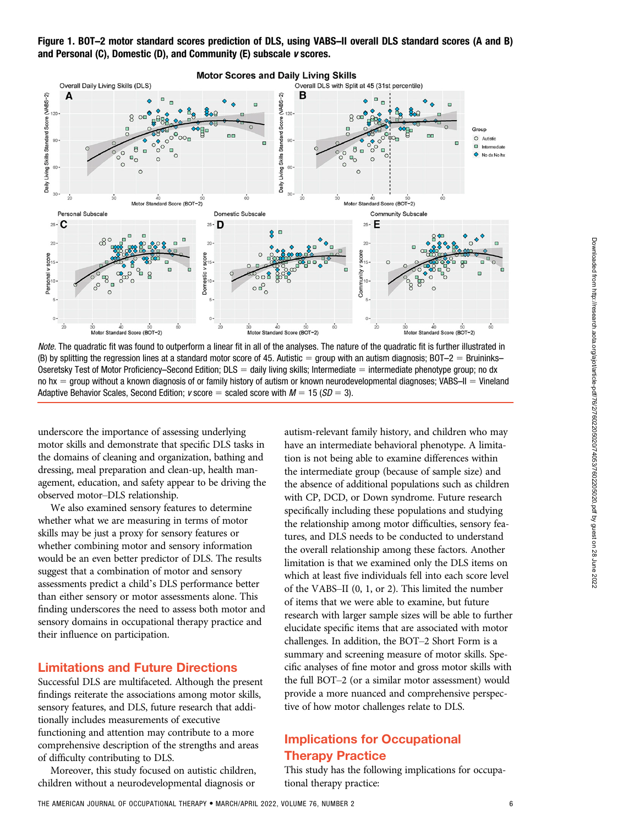

Note. The quadratic fit was found to outperform a linear fit in all of the analyses. The nature of the quadratic fit is further illustrated in (B) by splitting the regression lines at a standard motor score of 45. Autistic = group with an autism diagnosis; BOT–2 = Bruininks– Oseretsky Test of Motor Proficiency–Second Edition;  $DLS =$  daily living skills; Intermediate  $=$  intermediate phenotype group; no dx no  $hx =$  group without a known diagnosis of or family history of autism or known neurodevelopmental diagnoses; VABS–II = Vineland Adaptive Behavior Scales, Second Edition;  $v$  score = scaled score with  $M = 15$  ( $SD = 3$ ).

underscore the importance of assessing underlying motor skills and demonstrate that specific DLS tasks in the domains of cleaning and organization, bathing and dressing, meal preparation and clean-up, health management, education, and safety appear to be driving the observed motor–DLS relationship.

We also examined sensory features to determine whether what we are measuring in terms of motor skills may be just a proxy for sensory features or whether combining motor and sensory information would be an even better predictor of DLS. The results suggest that a combination of motor and sensory assessments predict a child's DLS performance better than either sensory or motor assessments alone. This finding underscores the need to assess both motor and sensory domains in occupational therapy practice and their influence on participation.

## Limitations and Future Directions

Successful DLS are multifaceted. Although the present findings reiterate the associations among motor skills, sensory features, and DLS, future research that additionally includes measurements of executive functioning and attention may contribute to a more comprehensive description of the strengths and areas of difficulty contributing to DLS.

Moreover, this study focused on autistic children, children without a neurodevelopmental diagnosis or

autism-relevant family history, and children who may have an intermediate behavioral phenotype. A limitation is not being able to examine differences within the intermediate group (because of sample size) and the absence of additional populations such as children with CP, DCD, or Down syndrome. Future research specifically including these populations and studying the relationship among motor difficulties, sensory features, and DLS needs to be conducted to understand the overall relationship among these factors. Another limitation is that we examined only the DLS items on which at least five individuals fell into each score level of the VABS–II (0, 1, or 2). This limited the number of items that we were able to examine, but future research with larger sample sizes will be able to further elucidate specific items that are associated with motor challenges. In addition, the BOT–2 Short Form is a summary and screening measure of motor skills. Specific analyses of fine motor and gross motor skills with the full BOT–2 (or a similar motor assessment) would provide a more nuanced and comprehensive perspective of how motor challenges relate to DLS.

# Implications for Occupational Therapy Practice

This study has the following implications for occupational therapy practice: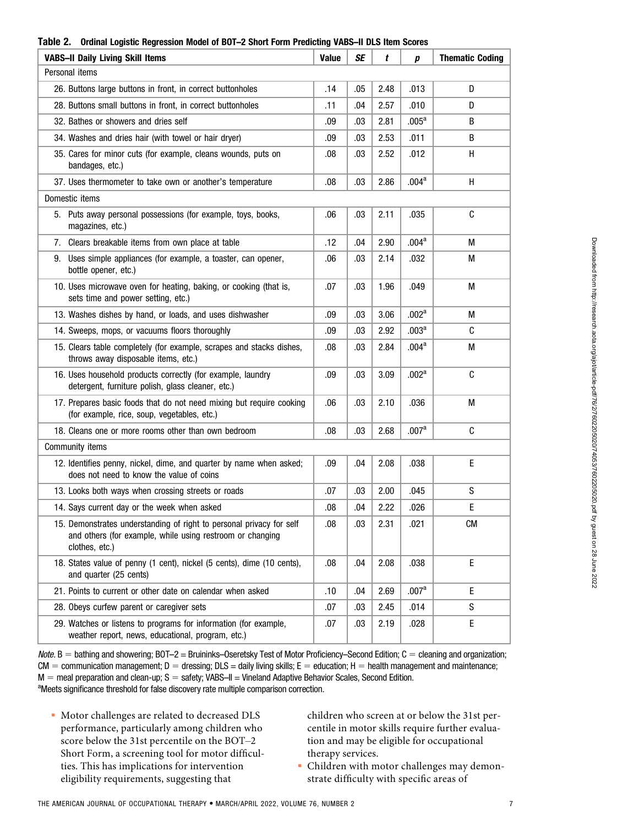|                                         |                                                                                                                                                     | $\,$ וו $\,$ וואסים ב. עם היינונות של היינונות היינונות היינונות היינונות היינונות היינונות היינונות היינונות הי<br>งบบ 65 |           |      |                   |                        |  |  |  |
|-----------------------------------------|-----------------------------------------------------------------------------------------------------------------------------------------------------|----------------------------------------------------------------------------------------------------------------------------|-----------|------|-------------------|------------------------|--|--|--|
| <b>VABS-II Daily Living Skill Items</b> |                                                                                                                                                     | <b>Value</b>                                                                                                               | <b>SE</b> | t    | р                 | <b>Thematic Coding</b> |  |  |  |
| Personal items                          |                                                                                                                                                     |                                                                                                                            |           |      |                   |                        |  |  |  |
|                                         | 26. Buttons large buttons in front, in correct buttonholes                                                                                          | .14                                                                                                                        | .05       | 2.48 | .013              | D                      |  |  |  |
|                                         | 28. Buttons small buttons in front, in correct buttonholes                                                                                          | .11                                                                                                                        | .04       | 2.57 | .010              | D                      |  |  |  |
|                                         | 32. Bathes or showers and dries self                                                                                                                | .09                                                                                                                        | .03       | 2.81 | .005 <sup>a</sup> | B                      |  |  |  |
|                                         | 34. Washes and dries hair (with towel or hair dryer)                                                                                                | .09                                                                                                                        | .03       | 2.53 | .011              | B                      |  |  |  |
|                                         | 35. Cares for minor cuts (for example, cleans wounds, puts on<br>bandages, etc.)                                                                    | .08                                                                                                                        | .03       | 2.52 | .012              | H                      |  |  |  |
|                                         | 37. Uses thermometer to take own or another's temperature                                                                                           | .08                                                                                                                        | .03       | 2.86 | .004 <sup>a</sup> | H                      |  |  |  |
|                                         | Domestic items                                                                                                                                      |                                                                                                                            |           |      |                   |                        |  |  |  |
|                                         | 5. Puts away personal possessions (for example, toys, books,<br>magazines, etc.)                                                                    | .06                                                                                                                        | .03       | 2.11 | .035              | C                      |  |  |  |
|                                         | 7. Clears breakable items from own place at table                                                                                                   | .12                                                                                                                        | .04       | 2.90 | .004 <sup>a</sup> | М                      |  |  |  |
|                                         | 9. Uses simple appliances (for example, a toaster, can opener,<br>bottle opener, etc.)                                                              | .06                                                                                                                        | .03       | 2.14 | .032              | М                      |  |  |  |
|                                         | 10. Uses microwave oven for heating, baking, or cooking (that is,<br>sets time and power setting, etc.)                                             | .07                                                                                                                        | .03       | 1.96 | .049              | M                      |  |  |  |
|                                         | 13. Washes dishes by hand, or loads, and uses dishwasher                                                                                            | .09                                                                                                                        | .03       | 3.06 | .002 <sup>a</sup> | М                      |  |  |  |
|                                         | 14. Sweeps, mops, or vacuums floors thoroughly                                                                                                      | .09                                                                                                                        | .03       | 2.92 | .003 <sup>a</sup> | C                      |  |  |  |
|                                         | 15. Clears table completely (for example, scrapes and stacks dishes,<br>throws away disposable items, etc.)                                         | .08                                                                                                                        | .03       | 2.84 | .004 <sup>a</sup> | М                      |  |  |  |
|                                         | 16. Uses household products correctly (for example, laundry<br>detergent, furniture polish, glass cleaner, etc.)                                    | .09                                                                                                                        | .03       | 3.09 | .002 <sup>a</sup> | C                      |  |  |  |
|                                         | 17. Prepares basic foods that do not need mixing but require cooking<br>(for example, rice, soup, vegetables, etc.)                                 | .06                                                                                                                        | .03       | 2.10 | .036              | М                      |  |  |  |
|                                         | 18. Cleans one or more rooms other than own bedroom                                                                                                 | .08                                                                                                                        | .03       | 2.68 | .007 <sup>a</sup> | C                      |  |  |  |
| Community items                         |                                                                                                                                                     |                                                                                                                            |           |      |                   |                        |  |  |  |
|                                         | 12. Identifies penny, nickel, dime, and quarter by name when asked;<br>does not need to know the value of coins                                     | .09                                                                                                                        | .04       | 2.08 | .038              | E                      |  |  |  |
|                                         | 13. Looks both ways when crossing streets or roads                                                                                                  | .07                                                                                                                        | .03       | 2.00 | .045              | S                      |  |  |  |
|                                         | 14. Says current day or the week when asked                                                                                                         | .08                                                                                                                        | .04       | 2.22 | .026              | E                      |  |  |  |
|                                         | 15. Demonstrates understanding of right to personal privacy for self<br>and others (for example, while using restroom or changing<br>clothes, etc.) | .08                                                                                                                        | .03       | 2.31 | .021              | <b>CM</b>              |  |  |  |
|                                         | 18. States value of penny (1 cent), nickel (5 cents), dime (10 cents),<br>and quarter (25 cents)                                                    | .08                                                                                                                        | .04       | 2.08 | .038              | $\mathsf E$            |  |  |  |
|                                         | 21. Points to current or other date on calendar when asked                                                                                          | .10                                                                                                                        | .04       | 2.69 | .007 <sup>a</sup> | E                      |  |  |  |
|                                         | 28. Obeys curfew parent or caregiver sets                                                                                                           | .07                                                                                                                        | .03       | 2.45 | .014              | S                      |  |  |  |
|                                         | 29. Watches or listens to programs for information (for example,<br>weather report, news, educational, program, etc.)                               | .07                                                                                                                        | .03       | 2.19 | .028              | E                      |  |  |  |

#### Table 2. Ordinal Logistic Regression Model of BOT–2 Short Form Predicting VABS–II DLS Item Scores

Note.  $B =$  bathing and showering; BOT–2 = Bruininks–Oseretsky Test of Motor Proficiency–Second Edition;  $C =$  cleaning and organization;  $CM =$  communication management;  $D =$  dressing;  $DLS =$  daily living skills;  $E =$  education; H = health management and maintenance;  $M =$  meal preparation and clean-up; S = safety; VABS–II = Vineland Adaptive Behavior Scales, Second Edition. <sup>a</sup>Meets significance threshold for false discovery rate multiple comparison correction.

 Motor challenges are related to decreased DLS performance, particularly among children who score below the 31st percentile on the BOT–2 Short Form, a screening tool for motor difficulties. This has implications for intervention eligibility requirements, suggesting that

children who screen at or below the 31st percentile in motor skills require further evaluation and may be eligible for occupational therapy services.

 Children with motor challenges may demonstrate difficulty with specific areas of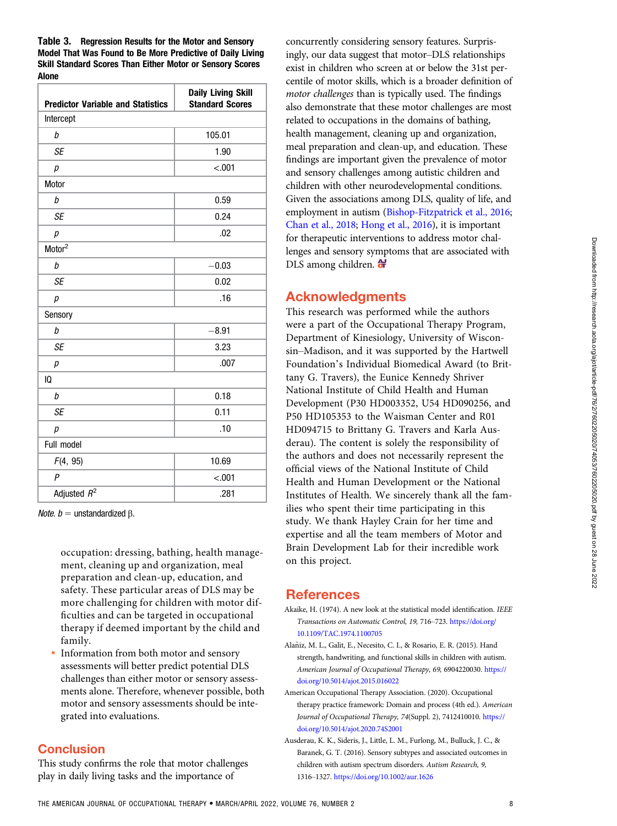<span id="page-7-0"></span>Table 3. Regression Results for the Motor and Sensory Model That Was Found to Be More Predictive of Daily Living Skill Standard Scores Than Either Motor or Sensory Scores Alone

| <b>Predictor Variable and Statistics</b> | <b>Daily Living Skill</b><br><b>Standard Scores</b> |  |  |  |  |
|------------------------------------------|-----------------------------------------------------|--|--|--|--|
| Intercept                                |                                                     |  |  |  |  |
| b                                        | 105.01                                              |  |  |  |  |
| <b>SE</b>                                | 1.90                                                |  |  |  |  |
| р                                        | $-.001$                                             |  |  |  |  |
| Motor                                    |                                                     |  |  |  |  |
| b                                        | 0.59                                                |  |  |  |  |
| <b>SE</b>                                | 0.24                                                |  |  |  |  |
| $\boldsymbol{p}$                         | .02                                                 |  |  |  |  |
| Motor <sup>2</sup>                       |                                                     |  |  |  |  |
| b                                        | $-0.03$                                             |  |  |  |  |
| <b>SE</b>                                | 0.02                                                |  |  |  |  |
| р                                        | .16                                                 |  |  |  |  |
| Sensory                                  |                                                     |  |  |  |  |
| b                                        | $-8.91$                                             |  |  |  |  |
| <b>SE</b>                                | 3.23                                                |  |  |  |  |
| р                                        | .007                                                |  |  |  |  |
| 10                                       |                                                     |  |  |  |  |
| b                                        | 0.18                                                |  |  |  |  |
| <b>SE</b>                                | 0.11                                                |  |  |  |  |
| р                                        | .10                                                 |  |  |  |  |
| Full model                               |                                                     |  |  |  |  |
| F(4, 95)                                 | 10.69                                               |  |  |  |  |
| $\overline{P}$                           | $-.001$                                             |  |  |  |  |
| Adjusted $R^2$                           | .281                                                |  |  |  |  |

*Note.*  $b =$  unstandardized β.

occupation: dressing, bathing, health management, cleaning up and organization, meal preparation and clean-up, education, and safety. These particular areas of DLS may be more challenging for children with motor difficulties and can be targeted in occupational therapy if deemed important by the child and family.

 Information from both motor and sensory assessments will better predict potential DLS challenges than either motor or sensory assessments alone. Therefore, whenever possible, both motor and sensory assessments should be integrated into evaluations.

## **Conclusion**

This study confirms the role that motor challenges play in daily living tasks and the importance of

concurrently considering sensory features. Surprisingly, our data suggest that motor–DLS relationships exist in children who screen at or below the 31st percentile of motor skills, which is a broader definition of motor challenges than is typically used. The findings also demonstrate that these motor challenges are most related to occupations in the domains of bathing, health management, cleaning up and organization, meal preparation and clean-up, and education. These findings are important given the prevalence of motor and sensory challenges among autistic children and children with other neurodevelopmental conditions. Given the associations among DLS, quality of life, and employment in autism [\(Bishop-Fitzpatrick et al., 2016](#page-8-0); [Chan et al., 2018](#page-8-0); [Hong et al., 2016](#page-8-0)), it is important for therapeutic interventions to address motor challenges and sensory symptoms that are associated with DLS among children.  $\bigoplus$ 

## Acknowledgments

This research was performed while the authors were a part of the Occupational Therapy Program, Department of Kinesiology, University of Wisconsin–Madison, and it was supported by the Hartwell Foundation's Individual Biomedical Award (to Brittany G. Travers), the Eunice Kennedy Shriver National Institute of Child Health and Human Development (P30 HD003352, U54 HD090256, and P50 HD105353 to the Waisman Center and R01 HD094715 to Brittany G. Travers and Karla Ausderau). The content is solely the responsibility of the authors and does not necessarily represent the official views of the National Institute of Child Health and Human Development or the National Institutes of Health. We sincerely thank all the families who spent their time participating in this study. We thank Hayley Crain for her time and expertise and all the team members of Motor and Brain Development Lab for their incredible work on this project.

## References

- Akaike, H. (1974). A new look at the statistical model identification. IEEE Transactions on Automatic Control, 19, 716–723. [https://doi.org/](https://doi.org/10.1109/TAC.1974.1100705) [10.1109/TAC.1974.1100705](https://doi.org/10.1109/TAC.1974.1100705)
- Alaniz, M. L., Galit, E., Necesito, C. I., & Rosario, E. R. (2015). Hand ~ strength, handwriting, and functional skills in children with autism. American Journal of Occupational Therapy, 69, 6904220030. [https://](https://doi.org/10.5014/ajot.2015.016022) [doi.org/10.5014/ajot.2015.016022](https://doi.org/10.5014/ajot.2015.016022)
- American Occupational Therapy Association. (2020). Occupational therapy practice framework: Domain and process (4th ed.). American Journal of Occupational Therapy, 74(Suppl. 2), 7412410010. [https://](https://doi.org/10.5014/ajot.2020.74S2001) [doi.org/10.5014/ajot.2020.74S2001](https://doi.org/10.5014/ajot.2020.74S2001)
- Ausderau, K. K., Sideris, J., Little, L. M., Furlong, M., Bulluck, J. C., & Baranek, G. T. (2016). Sensory subtypes and associated outcomes in children with autism spectrum disorders. Autism Research, 9, 1316–1327. <https://doi.org/10.1002/aur.1626>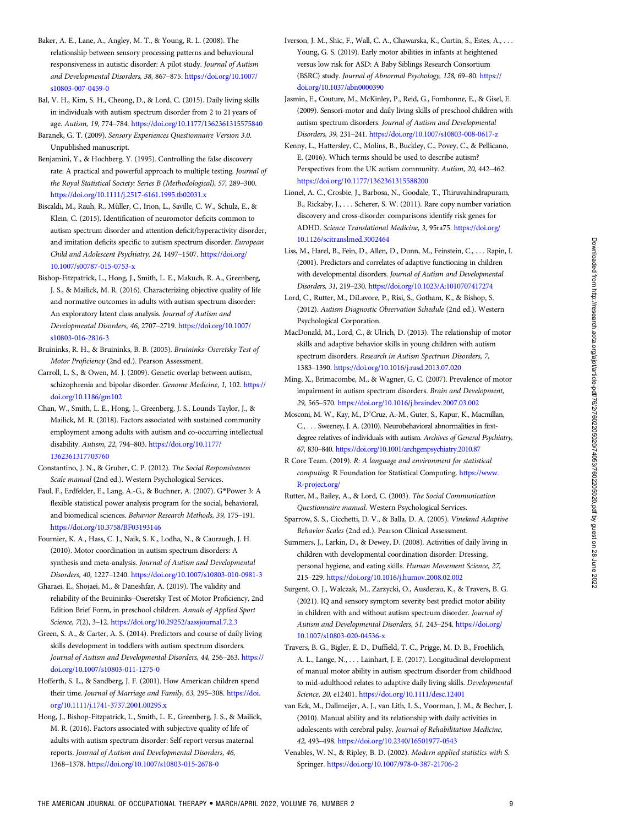- <span id="page-8-0"></span>Baker, A. E., Lane, A., Angley, M. T., & Young, R. L. (2008). The relationship between sensory processing patterns and behavioural responsiveness in autistic disorder: A pilot study. Journal of Autism and Developmental Disorders, 38, 867–875. [https://doi.org/10.1007/](https://doi.org/10.1007/s10803-007-0459-0) [s10803-007-0459-0](https://doi.org/10.1007/s10803-007-0459-0)
- Bal, V. H., Kim, S. H., Cheong, D., & Lord, C. (2015). Daily living skills in individuals with autism spectrum disorder from 2 to 21 years of age. Autism, 19, 774–784. <https://doi.org/10.1177/1362361315575840>
- Baranek, G. T. (2009). Sensory Experiences Questionnaire Version 3.0. Unpublished manuscript.
- Benjamini, Y., & Hochberg, Y. (1995). Controlling the false discovery rate: A practical and powerful approach to multiple testing. Journal of the Royal Statistical Society: Series B (Methodological), 57, 289–300. <https://doi.org/10.1111/j.2517-6161.1995.tb02031.x>
- Biscaldi, M., Rauh, R., Müller, C., Irion, L., Saville, C. W., Schulz, E., & Klein, C. (2015). Identification of neuromotor deficits common to autism spectrum disorder and attention deficit/hyperactivity disorder, and imitation deficits specific to autism spectrum disorder. European Child and Adolescent Psychiatry, 24, 1497–1507. [https://doi.org/](https://doi.org/10.1007/s00787-015-0753-x) [10.1007/s00787-015-0753-x](https://doi.org/10.1007/s00787-015-0753-x)
- Bishop-Fitzpatrick, L., Hong, J., Smith, L. E., Makuch, R. A., Greenberg, J. S., & Mailick, M. R. (2016). Characterizing objective quality of life and normative outcomes in adults with autism spectrum disorder: An exploratory latent class analysis. Journal of Autism and Developmental Disorders, 46, 2707–2719. [https://doi.org/10.1007/](https://doi.org/10.1007/s10803-016-2816-3) [s10803-016-2816-3](https://doi.org/10.1007/s10803-016-2816-3)
- Bruininks, R. H., & Bruininks, B. B. (2005). Bruininks–Oseretsky Test of Motor Proficiency (2nd ed.). Pearson Assessment.
- Carroll, L. S., & Owen, M. J. (2009). Genetic overlap between autism, schizophrenia and bipolar disorder. Genome Medicine, 1, 102. [https://](https://doi.org/10.1186/gm102) [doi.org/10.1186/gm102](https://doi.org/10.1186/gm102)
- Chan, W., Smith, L. E., Hong, J., Greenberg, J. S., Lounds Taylor, J., & Mailick, M. R. (2018). Factors associated with sustained community employment among adults with autism and co-occurring intellectual disability. Autism, 22, 794–803. [https://doi.org/10.1177/](https://doi.org/10.1177/1362361317703760) [1362361317703760](https://doi.org/10.1177/1362361317703760)
- Constantino, J. N., & Gruber, C. P. (2012). The Social Responsiveness Scale manual (2nd ed.). Western Psychological Services.
- Faul, F., Erdfelder, E., Lang, A.-G., & Buchner, A. (2007). G\*Power 3: A flexible statistical power analysis program for the social, behavioral, and biomedical sciences. Behavior Research Methods, 39, 175–191. <https://doi.org/10.3758/BF03193146>
- Fournier, K. A., Hass, C. J., Naik, S. K., Lodha, N., & Cauraugh, J. H. (2010). Motor coordination in autism spectrum disorders: A synthesis and meta-analysis. Journal of Autism and Developmental Disorders, 40, 1227–1240. <https://doi.org/10.1007/s10803-010-0981-3>
- Gharaei, E., Shojaei, M., & Daneshfar, A. (2019). The validity and reliability of the Bruininks–Oseretsky Test of Motor Proficiency, 2nd Edition Brief Form, in preschool children. Annals of Applied Sport Science, 7(2), 3–12. <https://doi.org/10.29252/aassjournal.7.2.3>
- Green, S. A., & Carter, A. S. (2014). Predictors and course of daily living skills development in toddlers with autism spectrum disorders. Journal of Autism and Developmental Disorders, 44, 256–263. [https://](https://doi.org/10.1007/s10803-011-1275-0) [doi.org/10.1007/s10803-011-1275-0](https://doi.org/10.1007/s10803-011-1275-0)
- Hofferth, S. L., & Sandberg, J. F. (2001). How American children spend their time. Journal of Marriage and Family, 63, 295–308. [https://doi.](https://doi.org/10.1111/j.1741-3737.2001.00295.x) [org/10.1111/j.1741-3737.2001.00295.x](https://doi.org/10.1111/j.1741-3737.2001.00295.x)
- Hong, J., Bishop-Fitzpatrick, L., Smith, L. E., Greenberg, J. S., & Mailick, M. R. (2016). Factors associated with subjective quality of life of adults with autism spectrum disorder: Self-report versus maternal reports. Journal of Autism and Developmental Disorders, 46, 1368–1378. <https://doi.org/10.1007/s10803-015-2678-0>
- Iverson, J. M., Shic, F., Wall, C. A., Chawarska, K., Curtin, S., Estes, A., . . . Young, G. S. (2019). Early motor abilities in infants at heightened versus low risk for ASD: A Baby Siblings Research Consortium (BSRC) study. Journal of Abnormal Psychology, 128, 69–80. [https://](https://doi.org/10.1037/abn0000390) [doi.org/10.1037/abn0000390](https://doi.org/10.1037/abn0000390)
- Jasmin, E., Couture, M., McKinley, P., Reid, G., Fombonne, E., & Gisel, E. (2009). Sensori-motor and daily living skills of preschool children with autism spectrum disorders. Journal of Autism and Developmental Disorders, 39, 231–241. <https://doi.org/10.1007/s10803-008-0617-z>
- Kenny, L., Hattersley, C., Molins, B., Buckley, C., Povey, C., & Pellicano, E. (2016). Which terms should be used to describe autism? Perspectives from the UK autism community. Autism, 20, 442–462. <https://doi.org/10.1177/1362361315588200>
- Lionel, A. C., Crosbie, J., Barbosa, N., Goodale, T., Thiruvahindrapuram, B., Rickaby, J., . . . Scherer, S. W. (2011). Rare copy number variation discovery and cross-disorder comparisons identify risk genes for ADHD. Science Translational Medicine, 3, 95ra75. [https://doi.org/](https://doi.org/10.1126/scitranslmed.3002464) [10.1126/scitranslmed.3002464](https://doi.org/10.1126/scitranslmed.3002464)
- Liss, M., Harel, B., Fein, D., Allen, D., Dunn, M., Feinstein, C., . . . Rapin, I. (2001). Predictors and correlates of adaptive functioning in children with developmental disorders. Journal of Autism and Developmental Disorders, 31, 219–230. <https://doi.org/10.1023/A:1010707417274>
- Lord, C., Rutter, M., DiLavore, P., Risi, S., Gotham, K., & Bishop, S. (2012). Autism Diagnostic Observation Schedule (2nd ed.). Western Psychological Corporation.
- MacDonald, M., Lord, C., & Ulrich, D. (2013). The relationship of motor skills and adaptive behavior skills in young children with autism spectrum disorders. Research in Autism Spectrum Disorders, 7, 1383–1390. <https://doi.org/10.1016/j.rasd.2013.07.020>
- Ming, X., Brimacombe, M., & Wagner, G. C. (2007). Prevalence of motor impairment in autism spectrum disorders. Brain and Development, 29, 565–570. <https://doi.org/10.1016/j.braindev.2007.03.002>
- Mosconi, M. W., Kay, M., D'Cruz, A.-M., Guter, S., Kapur, K., Macmillan, C., . . . Sweeney, J. A. (2010). Neurobehavioral abnormalities in firstdegree relatives of individuals with autism. Archives of General Psychiatry, 67, 830–840. <https://doi.org/10.1001/archgenpsychiatry.2010.87>
- R Core Team. (2019). R: A language and environment for statistical computing. R Foundation for Statistical Computing. [https://www.](https://www.R-project.org/) [R-project.org/](https://www.R-project.org/)
- Rutter, M., Bailey, A., & Lord, C. (2003). The Social Communication Questionnaire manual. Western Psychological Services.
- Sparrow, S. S., Cicchetti, D. V., & Balla, D. A. (2005). Vineland Adaptive Behavior Scales (2nd ed.). Pearson Clinical Assessment.
- Summers, J., Larkin, D., & Dewey, D. (2008). Activities of daily living in children with developmental coordination disorder: Dressing, personal hygiene, and eating skills. Human Movement Science, 27, 215–229. <https://doi.org/10.1016/j.humov.2008.02.002>
- Surgent, O. J., Walczak, M., Zarzycki, O., Ausderau, K., & Travers, B. G. (2021). IQ and sensory symptom severity best predict motor ability in children with and without autism spectrum disorder. Journal of Autism and Developmental Disorders, 51, 243–254. [https://doi.org/](https://doi.org/10.1007/s10803-020-04536-x) [10.1007/s10803-020-04536-x](https://doi.org/10.1007/s10803-020-04536-x)
- Travers, B. G., Bigler, E. D., Duffield, T. C., Prigge, M. D. B., Froehlich, A. L., Lange, N., . . . Lainhart, J. E. (2017). Longitudinal development of manual motor ability in autism spectrum disorder from childhood to mid-adulthood relates to adaptive daily living skills. Developmental Science, 20, e12401. <https://doi.org/10.1111/desc.12401>
- van Eck, M., Dallmeijer, A. J., van Lith, I. S., Voorman, J. M., & Becher, J. (2010). Manual ability and its relationship with daily activities in adolescents with cerebral palsy. Journal of Rehabilitation Medicine, 42, 493–498. <https://doi.org/10.2340/16501977-0543>
- Venables, W. N., & Ripley, B. D. (2002). Modern applied statistics with S. Springer. <https://doi.org/10.1007/978-0-387-21706-2>